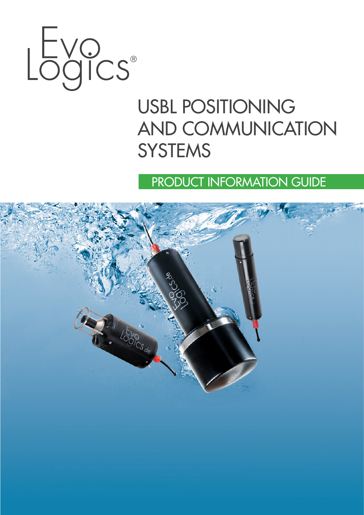

# USBL POSITIONING AND COMMUNICATION **SYSTEMS**

PRODUCT INFORMATION GUIDE

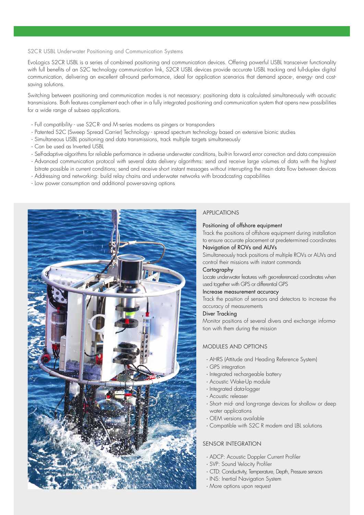#### S2CR USBL Underwater Positioning and Communication Systems

EvoLogics S2CR USBL is a series of combined positioning and communication devices. Offering powerful USBL transceiver functionality with full benefits of an S2C technology communication link, S2CR USBL devices provide accurate USBL tracking and full-duplex digital communication, delivering an excellent all-round performance, ideal for application scenarios that demand space-, energy- and costsaving solutions.

Switching between positioning and communication modes is not necessary: positioning data is calculated simultaneously with acoustic transmissions. Both features complement each other in a fully integrated positioning and communication system that opens new possibilities for a wide range of subsea applications.

- · Full compatibility use S2CR- and M-series modems as pingers or transponders
- · Patented S2C (Sweep Spread Carrier) Technology spread spectrum technology based on extensive bionic studies
- · Simultaneous USBL positioning and data transmissions, track multiple targets simultaneously
- · Can be used as Inverted USBL
- · Self-adaptive algorithms for reliable performance in adverse underwater conditions, built-in forward error correction and data compression
- · Advanced communication protocol with several data delivery algorithms: send and receive large volumes of data with the highest bitrate possible in current conditions; send and receive short instant messages without interrupting the main data flow between devices
- · Addressing and networking: build relay chains and underwater networks with broadcasting capabilities
- · Low power consumption and additional power-saving options



# APPLICATIONS

#### Positioning of offshore equipment

Track the positions of offshore equipment during installation to ensure accurate placement at predetermined coordinates Navigation of ROVs and AUVs

Simultaneously track positions of multiple ROVs or AUVs and control their missions with instant commands

## **Cartography**

Locate underwater features with geo-referenced coordinates when used together with GPS or differential GPS

### Increase measurement accuracy

Track the position of sensors and detectors to increase the accuracy of measurements

# Diver Tracking

Monitor positions of several divers and exchange information with them during the mission

# MODULES AND OPTIONS

- · AHRS (Attitude and Heading Reference System)
- · GPS integration
- · Integrated rechargeable battery
- · Acoustic Wake-Up module
- · Integrated data-logger
- · Acoustic releaser
- · Short- mid- and long-range devices for shallow or deep water applications
- · OEM versions available
- · Compatible with S2C R modem and LBL solutions

# SENSOR INTEGRATION

- · ADCP: Acoustic Doppler Current Profiler
- · SVP: Sound Velocity Profiler
- · CTD: Conductivity, Temperature, Depth, Pressure sensors
- · INS: Inertial Navigation System
- · More options upon request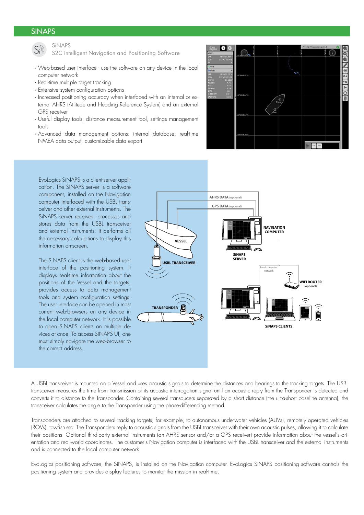# SINAPS SPECIFICATIONS AND CONFIGURATIONS AND CONFIGURATIONS AND CONFIGURATIONS AND CONFIGURATIONS AND CONFIGUR



SiNAPS

S2C intelligent Navigation and Positioning Software

- · Web-based user interface use the software on any device in the local computer network
- · Real-time multiple target tracking
- · Extensive system configuration options
- · Increased positioning accuracy when interfaced with an internal or external AHRS (Attitude and Heading Reference System) and an external GPS receiver
- · Useful display tools, distance measurement tool, settings management tools
- · Advanced data management options: internal database, real-time NMEA data output, customizable data export



EvoLogics SiNAPS is a client-server application. The SiNAPS server is a software component, installed on the Navigation computer interfaced with the USBL transceiver and other external instruments. The SiNAPS server receives, processes and stores data from the USBL transceiver and external instruments. It performs all the necessary calculations to display this information on-screen.

The SiNAPS client is the web-based user interface of the positioning system. It displays real-time information about the positions of the Vessel and the targets, provides access to data management tools and system configuration settings. The user interface can be opened in most current web-browsers on any device in the local computer network. It is possible to open SiNAPS clients on multiple devices at once. To access SiNAPS UI, one must simply navigate the web-browser to the correct address.



A USBL transceiver is mounted on a Vessel and uses acoustic signals to determine the distances and bearings to the tracking targets. The USBL transceiver measures the time from transmission of its acoustic interrogation signal until an acoustic reply from the Transponder is detected and converts it to distance to the Transponder. Containing several transducers separated by a short distance (the ultra-short baseline antenna), the transceiver calculates the angle to the Transponder using the phase-differencing method.

Transponders are attached to several tracking targets, for example, to autonomous underwater vehicles (AUVs), remotely operated vehicles (ROVs), towfish etc. The Transponders reply to acoustic signals from the USBL transceiver with their own acoustic pulses, allowing it to calculate their positions. Optional third-party external instruments (an AHRS sensor and/or a GPS receiver) provide information about the vessel's orientation and real-world coordinates. The customer's Navigation computer is interfaced with the USBL transceiver and the external instruments and is connected to the local computer network.

EvoLogics positioning software, the SiNAPS, is installed on the Navigation computer. EvoLogics SiNAPS positioning software controls the positioning system and provides display features to monitor the mission in real-time.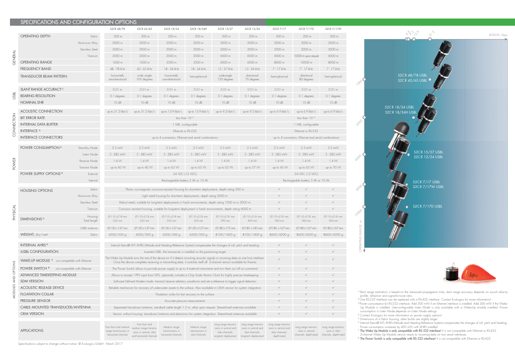1) Slant range estimation is based on the measured propagation time, slant range accuracy depends on sound velocity profile, refraction and signal-to-noise ratio.

<sup>2)</sup> One RS-232 Interface can be replaced with a RS-422 interface. Contact EvoLogics for more information!

| SPECIFICATIONS AND CONFIGURATION OPTIONS                                          |                         |                                                                                                                                                                                                                                                                  |                                                                                                                           |                                                                                                                    |                                                    |                                                                                         |                                                                  |                                                                                                     |                                                                                          |                                        |
|-----------------------------------------------------------------------------------|-------------------------|------------------------------------------------------------------------------------------------------------------------------------------------------------------------------------------------------------------------------------------------------------------|---------------------------------------------------------------------------------------------------------------------------|--------------------------------------------------------------------------------------------------------------------|----------------------------------------------------|-----------------------------------------------------------------------------------------|------------------------------------------------------------------|-----------------------------------------------------------------------------------------------------|------------------------------------------------------------------------------------------|----------------------------------------|
|                                                                                   |                         | S2CR 48/78                                                                                                                                                                                                                                                       | S2CR 42/65                                                                                                                | S2CR 18/34                                                                                                         | S2CR 18/34H                                        | S2CR 15/27                                                                              | S2CR 12/24                                                       | S2CR 7/17                                                                                           | S2CR 7/17D                                                                               | S2CR 7/17W                             |
| <b>OPERATING DEPTH</b>                                                            | Delrin                  | 200 m                                                                                                                                                                                                                                                            | 200 m                                                                                                                     | 200 m                                                                                                              | 200 m                                              | 200 m                                                                                   | 200 m                                                            | 200 m                                                                                               | 200 m                                                                                    | 200 m                                  |
|                                                                                   | Aluminium Alloy         | 2000 m                                                                                                                                                                                                                                                           | 2000 m                                                                                                                    | 2000 m                                                                                                             | 2000 m                                             | 2000 m                                                                                  | 2000 m                                                           | 2000 m                                                                                              | 2000 m                                                                                   | 2000 m                                 |
|                                                                                   | Stainless Steel         | 2000 m                                                                                                                                                                                                                                                           | 2000 m                                                                                                                    | 2000 m                                                                                                             | 2000 m                                             | 2000 m                                                                                  | 2000 m                                                           | 2000 m                                                                                              | 2000 m                                                                                   | 2000 m                                 |
|                                                                                   | Titanium                | 2000 m                                                                                                                                                                                                                                                           | 2000 m                                                                                                                    | 2000 m                                                                                                             | 2000 m                                             | 6000 m                                                                                  | 6000 m                                                           | 6000 m                                                                                              | 10000 m upon request                                                                     | 6000 m                                 |
| <b>OPERATING RANGE</b>                                                            |                         | 1000 m                                                                                                                                                                                                                                                           | 1000 m                                                                                                                    | 3500 m                                                                                                             | 3500 m                                             | 6000 m                                                                                  | 6000 m                                                           | 8000 m                                                                                              | 10000 m                                                                                  | 8000 m                                 |
| <b>FREQUENCY BAND</b>                                                             |                         | 48 - 78 kHz                                                                                                                                                                                                                                                      | 42 - 65 kHz                                                                                                               | 18 - 34 kHz                                                                                                        | 18 - 34 kHz                                        | 15 - 27 kHz                                                                             | 13 - 24 kHz                                                      | 7 - 17 kHz                                                                                          | 7 - 17 kHz                                                                               | 7 - 17 kHz                             |
| <b>TRANSDUCER BEAM PATTERN</b>                                                    |                         | horizontally                                                                                                                                                                                                                                                     | wide-angle                                                                                                                | horizontally                                                                                                       | hemispherical                                      | wide-angle                                                                              | directional                                                      | hemispherical                                                                                       | directional                                                                              | hemispherical                          |
|                                                                                   |                         | omnidirectional                                                                                                                                                                                                                                                  | 100 degrees                                                                                                               | omnidirectional                                                                                                    |                                                    | 120 degrees                                                                             | 70 degrees                                                       |                                                                                                     | 80 degrees                                                                               |                                        |
| SLANT RANGE ACCURACY <sup>1)</sup>                                                |                         | 0.01 m                                                                                                                                                                                                                                                           | 0.01 m                                                                                                                    | 0.01 m                                                                                                             | 0.01 m                                             | 0.01 m                                                                                  | 0.01 m                                                           | 0.01 m                                                                                              | 0.01 m                                                                                   | 0.01 m                                 |
| <b>BEARING RESOLUTION</b>                                                         |                         | 0.1 degrees                                                                                                                                                                                                                                                      | 0.1 degrees                                                                                                               | 0.1 degrees                                                                                                        | 0.1 degrees                                        | 0.1 degrees                                                                             | 0.1 degrees                                                      | 0.1 degrees                                                                                         | 0.1 degrees                                                                              | 0.1 degrees                            |
| NOMINAL SNR                                                                       |                         | 10 dB                                                                                                                                                                                                                                                            | 10 dB                                                                                                                     | 10 dB                                                                                                              | 10 dB                                              | 10 dB                                                                                   | 10 dB                                                            | 10 dB                                                                                               | 10 dB                                                                                    | 10 dB                                  |
| ACOUSTIC CONNECTION                                                               |                         | up to $31.2$ kbit/s                                                                                                                                                                                                                                              |                                                                                                                           | up to 31.2 kbit/s up to 13.9 kbit/s up to 13.9 kbit/s up to 9.2 kbit/s                                             |                                                    |                                                                                         | up to 9.2 kbit/s                                                 | up to 6.9 kbit/s                                                                                    | up to 6.9 kbit/s up to 6.9 kbit/s                                                        |                                        |
| <b>BIT ERROR RATE</b>                                                             |                         |                                                                                                                                                                                                                                                                  |                                                                                                                           |                                                                                                                    |                                                    |                                                                                         |                                                                  |                                                                                                     | less than 10:10                                                                          |                                        |
| <b>INTERNAL DATA BUFFER</b><br><b>INTERFACE 2)</b><br><b>INTERFACE CONNECTORS</b> |                         | less than 10:10<br>1 MB, configurable                                                                                                                                                                                                                            |                                                                                                                           |                                                                                                                    |                                                    |                                                                                         |                                                                  | 1 MB, configurable                                                                                  |                                                                                          |                                        |
|                                                                                   |                         | Ethernet or RS-232                                                                                                                                                                                                                                               |                                                                                                                           |                                                                                                                    |                                                    |                                                                                         |                                                                  | Ethernet or RS-232                                                                                  |                                                                                          |                                        |
|                                                                                   |                         | up to 4 connectors, Ethernet and serial combinations                                                                                                                                                                                                             |                                                                                                                           |                                                                                                                    |                                                    |                                                                                         |                                                                  | up to 4 connectors, Ethernet and serial combinations                                                |                                                                                          |                                        |
|                                                                                   |                         |                                                                                                                                                                                                                                                                  |                                                                                                                           |                                                                                                                    |                                                    |                                                                                         |                                                                  |                                                                                                     |                                                                                          |                                        |
| POWER CONSUMPTION <sup>3)</sup>                                                   | Stand-by Mode           | $2.5$ mVV                                                                                                                                                                                                                                                        | $2.5$ mVV                                                                                                                 | $2.5$ mVV                                                                                                          | $2.5$ m $W$                                        | $2.5$ mVV                                                                               | $2.5$ mVV                                                        | $2.5$ m $W$                                                                                         | $2.5$ mVV                                                                                | $2.5$ mVV                              |
|                                                                                   | Listen Mode             | 5 - 285 mW                                                                                                                                                                                                                                                       | 5 - 285 mW                                                                                                                | 5 - 285 mW                                                                                                         | 5 - 285 mW                                         | 5 - 285 mW                                                                              | 5 - 285 mW                                                       | 5 - 285 mW                                                                                          | 5 - 285 mW                                                                               | 5 - 285 mW                             |
|                                                                                   | Receive Mode            | 1.4W                                                                                                                                                                                                                                                             | 1.4W                                                                                                                      | 1.4 W                                                                                                              | 1.4W                                               | 1.4W                                                                                    | 1.4 W                                                            | 1.4W                                                                                                | 1.4W                                                                                     | 1.4W                                   |
|                                                                                   | Transmit Mode           | up to 60 W                                                                                                                                                                                                                                                       | up to 40 W                                                                                                                | up to 65 W                                                                                                         | up to 65 W                                         | up to 65 W                                                                              | up to 57 W                                                       | up to 45 W                                                                                          | up to 65 W                                                                               | up to 70 W                             |
| POWER SUPPLY OPTIONS <sup>4)</sup>                                                | External                | 24 VDC (12 VDC)                                                                                                                                                                                                                                                  |                                                                                                                           |                                                                                                                    |                                                    |                                                                                         | 24 VDC (12 VDC)                                                  |                                                                                                     |                                                                                          |                                        |
|                                                                                   | Internal                | Rechargeable battery 5 Ah or 10 Ah                                                                                                                                                                                                                               |                                                                                                                           |                                                                                                                    |                                                    |                                                                                         | Rechargeable battery 5 Ah or 10 Ah                               |                                                                                                     |                                                                                          |                                        |
| <b>HOUSING OPTIONS</b>                                                            | Delrin                  |                                                                                                                                                                                                                                                                  | Plastic non-magnetic corrosion-resistant housing for short-term deployments, depth rating 200 m                           |                                                                                                                    |                                                    |                                                                                         | $\checkmark$                                                     | $\checkmark$                                                                                        | $\checkmark$                                                                             |                                        |
|                                                                                   | Aluminium Alloy         |                                                                                                                                                                                                                                                                  | Light metal housing for short-term deployments, depth rating 2000 m                                                       |                                                                                                                    |                                                    |                                                                                         |                                                                  |                                                                                                     |                                                                                          |                                        |
|                                                                                   | Stainless Steel         |                                                                                                                                                                                                                                                                  | Robust metal, suitable for long-term deployments in harsh environments, depth rating 1000 m or 2000 m                     |                                                                                                                    |                                                    |                                                                                         |                                                                  |                                                                                                     |                                                                                          |                                        |
|                                                                                   | Titanium                | Corrosion resistant housing, suitable for long-term deployment in harsh environments, depth rating 6000 m                                                                                                                                                        |                                                                                                                           |                                                                                                                    |                                                    |                                                                                         |                                                                  | $\checkmark$                                                                                        |                                                                                          |                                        |
| <b>DIMENSIONS</b> <sup>5)</sup>                                                   | Housing<br>Total length | Ø110 x218 mm<br>355 mm                                                                                                                                                                                                                                           | $\emptyset$ 110 x218 mm<br>355 mm                                                                                         | Ø110 x218 mm<br>355 mm                                                                                             | Ø110 x218 mm<br>355 mm                             | Ø110 x218 mm<br>393 mm                                                                  | $\emptyset$ 110 x218 mm<br>403 mm                                | Ø110 x218 mm<br>385 mm                                                                              | Ø110 x218 mm<br>385 mm                                                                   | Ø110 x 218 mm<br>385 mm                |
|                                                                                   | USBL antenna            | ⊘130 x137 mm                                                                                                                                                                                                                                                     | $\emptyset$ 130 x 137 mm                                                                                                  | $\emptyset$ 130 x 137 mm                                                                                           | $\emptyset$ 130 x 137 mm                           | $\emptyset$ 180 x 175 mm                                                                | Ø180 x185 mm                                                     | $\emptyset$ 180 x167 mm                                                                             | $\emptyset$ 180x167 mm                                                                   | $\emptyset$ 180x167 mm                 |
| WEIGHT, dry/wet                                                                   | Delrin                  | 4500/500 g                                                                                                                                                                                                                                                       | 4500/500 g                                                                                                                | 4500/500 g                                                                                                         | 4500/500 g                                         | 8100/1400 g                                                                             | 8100/1400 g                                                      | 8600/4200 g                                                                                         | 8600/4200 g                                                                              | 8600/4200 g                            |
| <b>INTERNAL AHRS<sup>6)</sup></b>                                                 |                         |                                                                                                                                                                                                                                                                  |                                                                                                                           |                                                                                                                    |                                                    |                                                                                         |                                                                  | $\checkmark$                                                                                        |                                                                                          |                                        |
| <b>iUSBL CONFIGURATION</b>                                                        |                         | Internal Xsens® MTi AHRS (Attitude and Heading Reference System) compensates the changes of roll, pitch and heading<br>Inverted USBL: the transceiver is installed on the positioning target                                                                     |                                                                                                                           |                                                                                                                    |                                                    |                                                                                         |                                                                  |                                                                                                     |                                                                                          |                                        |
| WAKE-UP MODULE 7 not compatible with Ethernet                                     |                         | The Wake Up Module turns the rest of the device on if it detects incoming acoustic signals or incoming data on one host interface.<br>Once the device completes receiving or transmitting data, it switches itself off. 2-channel version available for R-series |                                                                                                                           |                                                                                                                    |                                                    |                                                                                         |                                                                  | $\sqrt{ }$                                                                                          |                                                                                          |                                        |
| POWER SWITCH <sup>8)</sup><br>not compatible with Ethernet                        |                         | The Power Switch allows to provide power supply to up to 4 external instruments and turn them on/off on command                                                                                                                                                  |                                                                                                                           |                                                                                                                    |                                                    |                                                                                         |                                                                  |                                                                                                     |                                                                                          |                                        |
| ADVANCED TIMEKEEPING MODULE                                                       |                         | Allows to accept 1 PPS input from GPS, optionally includes a Chip Scale Atomic Clock for highly precise timekeeping                                                                                                                                              |                                                                                                                           |                                                                                                                    |                                                    |                                                                                         |                                                                  |                                                                                                     |                                                                                          |                                        |
| <b>SDM VERSION</b>                                                                |                         | Software Defined Modem mode: transmit/receive arbitrary waveforms and set a reference to trigger signal detection                                                                                                                                                |                                                                                                                           |                                                                                                                    |                                                    |                                                                                         |                                                                  |                                                                                                     |                                                                                          |                                        |
| ACOUSTIC RELEASE DEVICE                                                           |                         |                                                                                                                                                                                                                                                                  | Reliable mechanism for recovery of underwater assets to the surface. Also available in OEM version for system integration |                                                                                                                    |                                                    |                                                                                         |                                                                  |                                                                                                     |                                                                                          |                                        |
| <b>FLOATATION COLLAR</b>                                                          |                         | Floatation collar for fast recovery to the surface                                                                                                                                                                                                               |                                                                                                                           |                                                                                                                    |                                                    |                                                                                         |                                                                  |                                                                                                     |                                                                                          |                                        |
| PRESSURE SENSOR                                                                   |                         | Accurate pressure measurements                                                                                                                                                                                                                                   |                                                                                                                           |                                                                                                                    |                                                    |                                                                                         |                                                                  |                                                                                                     |                                                                                          |                                        |
| CABLE-MOUNTED TRANSDUCER/ANTENNA                                                  |                         | Separated transducer/antenna, standard cable length 1.5 m, other upon request. Streamlined antennas available                                                                                                                                                    |                                                                                                                           |                                                                                                                    |                                                    |                                                                                         |                                                                  |                                                                                                     |                                                                                          |                                        |
| <b>OEM VERSION</b>                                                                |                         |                                                                                                                                                                                                                                                                  |                                                                                                                           | Version without housing: transducer/antenna and electronics for system integration. Streamlined antennas available |                                                    |                                                                                         |                                                                  |                                                                                                     |                                                                                          |                                        |
| <b>APPLICATIONS</b>                                                               |                         | Fast short and medium<br>range transmissions in<br>horizontal channels                                                                                                                                                                                           | Fast short and<br>medium range transmis<br>sions in vertical, slant<br>and horizontal channel                             | Medium range<br>transmissions in<br>horizontal channels                                                            | Medium range<br>transmissions in<br>slant channels | Long range transmis-<br>sions in vertical and<br>slant channels,<br>ona-term deplovment | sions in vertical and<br>slant channels,<br>long-term deployment | Long range transmis- Long range transmis-<br>sions in vertical and<br>slant channels<br>denth-rated | Long range transmis-<br>sions in vertical<br>channels, depth-rated channels, depth-rated | Long range transmis-<br>sions in slant |

<sup>3)</sup> Power consumption for RS-232 interface. Add 500 mW if an Ethernet interface is installed. Add 300 mW if the Wake-Up Module is installed. User-configurable Listen Mode is only available with a Wake-Up module installed. Power consumption in Listen Mode depends on Listen Mode settings.

<sup>4)</sup> Contact EvoLogics for more information on power supply options!

Specifications subject to change without notice. © EvoLogics GmbH - March 2017

5) Dimensions of a Delrin housing, other builds are slightly larger.

6) Internal Xsens® MTi AHRS (Attitude and Heading Reference System) compensates the changes of roll, pitch and heading. Power consumption increases by 400 mW with AHRS installed.

 $^7$  The Wake Up Module is only compatible with RS-232 interface! It is not compatible with Ethernet or RS-422.

2-channel Wake Up Module version reacts to incoming data on two serial interfaces.<br><sup>8)</sup> The Power Switch is only compatible with RS-232 interface! It is not compatible with Ethernet or RS-422.



100

350

000

800

1000